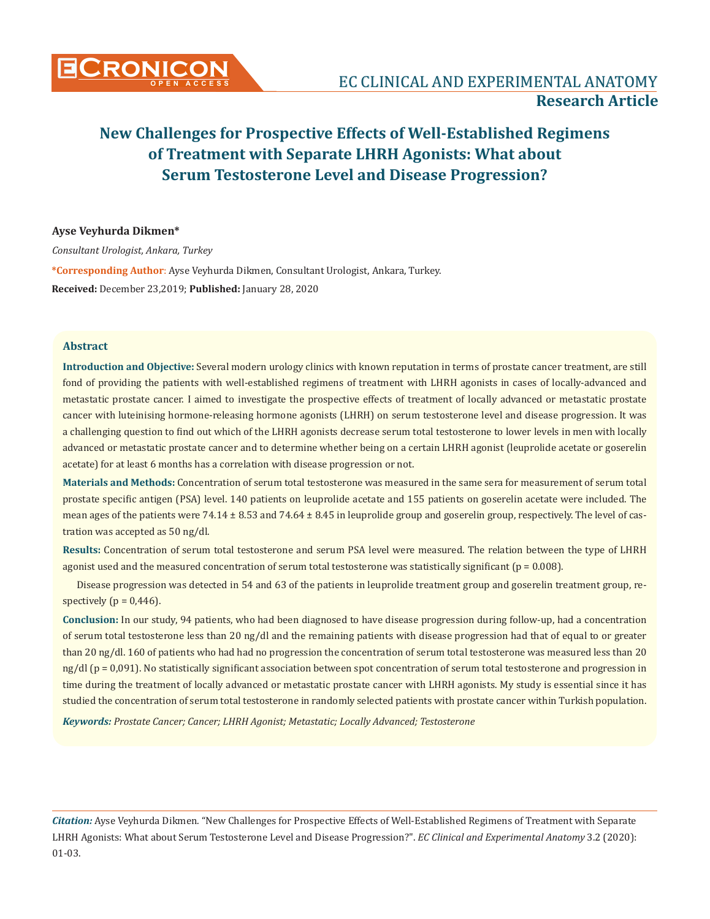

# **New Challenges for Prospective Effects of Well-Established Regimens of Treatment with Separate LHRH Agonists: What about Serum Testosterone Level and Disease Progression?**

## **Ayse Veyhurda Dikmen\***

*Consultant Urologist, Ankara, Turkey* **\*Corresponding Author**: Ayse Veyhurda Dikmen, Consultant Urologist, Ankara, Turkey. **Received:** December 23,2019; **Published:** January 28, 2020

## **Abstract**

**Introduction and Objective:** Several modern urology clinics with known reputation in terms of prostate cancer treatment, are still fond of providing the patients with well-established regimens of treatment with LHRH agonists in cases of locally-advanced and metastatic prostate cancer. I aimed to investigate the prospective effects of treatment of locally advanced or metastatic prostate cancer with luteinising hormone-releasing hormone agonists (LHRH) on serum testosterone level and disease progression. It was a challenging question to find out which of the LHRH agonists decrease serum total testosterone to lower levels in men with locally advanced or metastatic prostate cancer and to determine whether being on a certain LHRH agonist (leuprolide acetate or goserelin acetate) for at least 6 months has a correlation with disease progression or not.

**Materials and Methods:** Concentration of serum total testosterone was measured in the same sera for measurement of serum total prostate specific antigen (PSA) level. 140 patients on leuprolide acetate and 155 patients on goserelin acetate were included. The mean ages of the patients were 74.14 ± 8.53 and 74.64 ± 8.45 in leuprolide group and goserelin group, respectively. The level of castration was accepted as 50 ng/dl.

**Results:** Concentration of serum total testosterone and serum PSA level were measured. The relation between the type of LHRH agonist used and the measured concentration of serum total testosterone was statistically significant  $(p = 0.008)$ .

Disease progression was detected in 54 and 63 of the patients in leuprolide treatment group and goserelin treatment group, respectively ( $p = 0.446$ ).

**Conclusion:** In our study, 94 patients, who had been diagnosed to have disease progression during follow-up, had a concentration of serum total testosterone less than 20 ng/dl and the remaining patients with disease progression had that of equal to or greater than 20 ng/dl. 160 of patients who had had no progression the concentration of serum total testosterone was measured less than 20 ng/dl (p = 0,091). No statistically significant association between spot concentration of serum total testosterone and progression in time during the treatment of locally advanced or metastatic prostate cancer with LHRH agonists. My study is essential since it has studied the concentration of serum total testosterone in randomly selected patients with prostate cancer within Turkish population.

*Keywords: Prostate Cancer; Cancer; LHRH Agonist; Metastatic; Locally Advanced; Testosterone*

*Citation:* Ayse Veyhurda Dikmen*.* "New Challenges for Prospective Effects of Well-Established Regimens of Treatment with Separate LHRH Agonists: What about Serum Testosterone Level and Disease Progression?". *EC Clinical and Experimental Anatomy* 3.2 (2020): 01-03.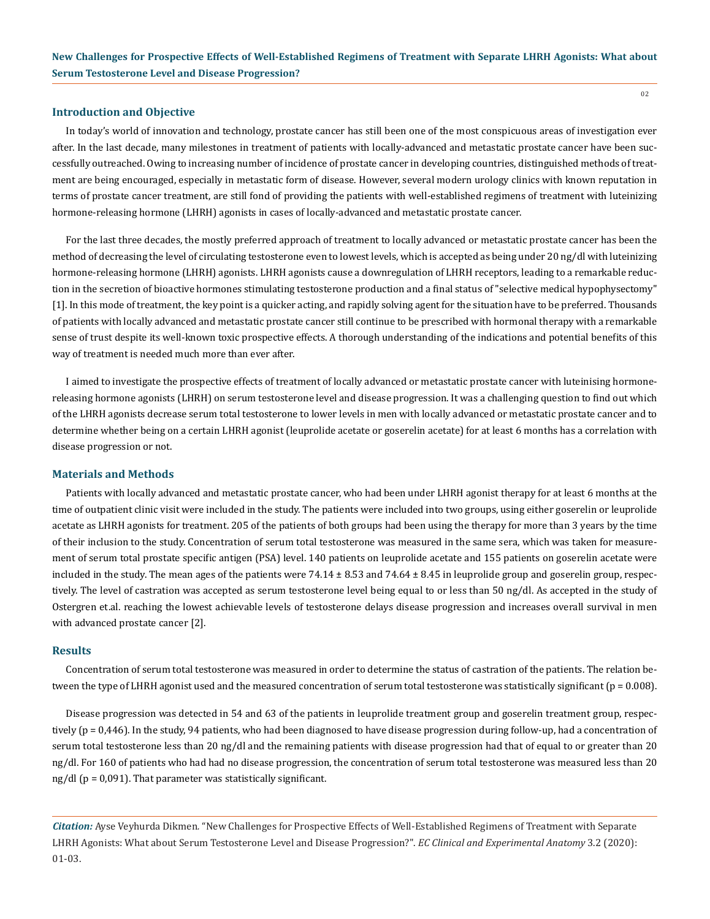## **Introduction and Objective**

In today's world of innovation and technology, prostate cancer has still been one of the most conspicuous areas of investigation ever after. In the last decade, many milestones in treatment of patients with locally-advanced and metastatic prostate cancer have been successfully outreached. Owing to increasing number of incidence of prostate cancer in developing countries, distinguished methods of treatment are being encouraged, especially in metastatic form of disease. However, several modern urology clinics with known reputation in terms of prostate cancer treatment, are still fond of providing the patients with well-established regimens of treatment with luteinizing hormone-releasing hormone (LHRH) agonists in cases of locally-advanced and metastatic prostate cancer.

For the last three decades, the mostly preferred approach of treatment to locally advanced or metastatic prostate cancer has been the method of decreasing the level of circulating testosterone even to lowest levels, which is accepted as being under 20 ng/dl with luteinizing hormone-releasing hormone (LHRH) agonists. LHRH agonists cause a downregulation of LHRH receptors, leading to a remarkable reduction in the secretion of bioactive hormones stimulating testosterone production and a final status of "selective medical hypophysectomy" [1]. In this mode of treatment, the key point is a quicker acting, and rapidly solving agent for the situation have to be preferred. Thousands of patients with locally advanced and metastatic prostate cancer still continue to be prescribed with hormonal therapy with a remarkable sense of trust despite its well-known toxic prospective effects. A thorough understanding of the indications and potential benefits of this way of treatment is needed much more than ever after.

I aimed to investigate the prospective effects of treatment of locally advanced or metastatic prostate cancer with luteinising hormonereleasing hormone agonists (LHRH) on serum testosterone level and disease progression. It was a challenging question to find out which of the LHRH agonists decrease serum total testosterone to lower levels in men with locally advanced or metastatic prostate cancer and to determine whether being on a certain LHRH agonist (leuprolide acetate or goserelin acetate) for at least 6 months has a correlation with disease progression or not.

#### **Materials and Methods**

Patients with locally advanced and metastatic prostate cancer, who had been under LHRH agonist therapy for at least 6 months at the time of outpatient clinic visit were included in the study. The patients were included into two groups, using either goserelin or leuprolide acetate as LHRH agonists for treatment. 205 of the patients of both groups had been using the therapy for more than 3 years by the time of their inclusion to the study. Concentration of serum total testosterone was measured in the same sera, which was taken for measurement of serum total prostate specific antigen (PSA) level. 140 patients on leuprolide acetate and 155 patients on goserelin acetate were included in the study. The mean ages of the patients were  $74.14 \pm 8.53$  and  $74.64 \pm 8.45$  in leuprolide group and goserelin group, respectively. The level of castration was accepted as serum testosterone level being equal to or less than 50 ng/dl. As accepted in the study of Ostergren et.al. reaching the lowest achievable levels of testosterone delays disease progression and increases overall survival in men with advanced prostate cancer [2].

## **Results**

Concentration of serum total testosterone was measured in order to determine the status of castration of the patients. The relation between the type of LHRH agonist used and the measured concentration of serum total testosterone was statistically significant ( $p = 0.008$ ).

Disease progression was detected in 54 and 63 of the patients in leuprolide treatment group and goserelin treatment group, respectively (p = 0,446). In the study, 94 patients, who had been diagnosed to have disease progression during follow-up, had a concentration of serum total testosterone less than 20 ng/dl and the remaining patients with disease progression had that of equal to or greater than 20 ng/dl. For 160 of patients who had had no disease progression, the concentration of serum total testosterone was measured less than 20 ng/dl (p = 0,091). That parameter was statistically significant.

*Citation:* Ayse Veyhurda Dikmen*.* "New Challenges for Prospective Effects of Well-Established Regimens of Treatment with Separate LHRH Agonists: What about Serum Testosterone Level and Disease Progression?". *EC Clinical and Experimental Anatomy* 3.2 (2020): 01-03.

02